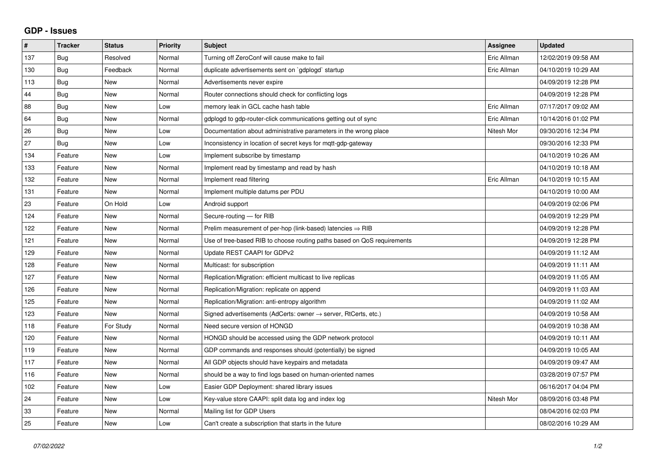## **GDP - Issues**

| $\sharp$ | <b>Tracker</b> | <b>Status</b> | <b>Priority</b> | <b>Subject</b>                                                          | Assignee    | <b>Updated</b>      |
|----------|----------------|---------------|-----------------|-------------------------------------------------------------------------|-------------|---------------------|
| 137      | Bug            | Resolved      | Normal          | Turning off ZeroConf will cause make to fail                            | Eric Allman | 12/02/2019 09:58 AM |
| 130      | Bug            | Feedback      | Normal          | duplicate advertisements sent on `gdplogd` startup                      | Eric Allman | 04/10/2019 10:29 AM |
| 113      | Bug            | New           | Normal          | Advertisements never expire                                             |             | 04/09/2019 12:28 PM |
| 44       | <b>Bug</b>     | <b>New</b>    | Normal          | Router connections should check for conflicting logs                    |             | 04/09/2019 12:28 PM |
| 88       | Bug            | <b>New</b>    | Low             | memory leak in GCL cache hash table                                     | Eric Allman | 07/17/2017 09:02 AM |
| 64       | Bug            | <b>New</b>    | Normal          | gdplogd to gdp-router-click communications getting out of sync          | Eric Allman | 10/14/2016 01:02 PM |
| 26       | <b>Bug</b>     | <b>New</b>    | Low             | Documentation about administrative parameters in the wrong place        | Nitesh Mor  | 09/30/2016 12:34 PM |
| 27       | Bug            | <b>New</b>    | Low             | Inconsistency in location of secret keys for mgtt-gdp-gateway           |             | 09/30/2016 12:33 PM |
| 134      | Feature        | <b>New</b>    | Low             | Implement subscribe by timestamp                                        |             | 04/10/2019 10:26 AM |
| 133      | Feature        | <b>New</b>    | Normal          | Implement read by timestamp and read by hash                            |             | 04/10/2019 10:18 AM |
| 132      | Feature        | <b>New</b>    | Normal          | Implement read filtering                                                | Eric Allman | 04/10/2019 10:15 AM |
| 131      | Feature        | <b>New</b>    | Normal          | Implement multiple datums per PDU                                       |             | 04/10/2019 10:00 AM |
| 23       | Feature        | On Hold       | Low             | Android support                                                         |             | 04/09/2019 02:06 PM |
| 124      | Feature        | <b>New</b>    | Normal          | Secure-routing - for RIB                                                |             | 04/09/2019 12:29 PM |
| 122      | Feature        | <b>New</b>    | Normal          | Prelim measurement of per-hop (link-based) latencies $\Rightarrow$ RIB  |             | 04/09/2019 12:28 PM |
| 121      | Feature        | <b>New</b>    | Normal          | Use of tree-based RIB to choose routing paths based on QoS requirements |             | 04/09/2019 12:28 PM |
| 129      | Feature        | <b>New</b>    | Normal          | Update REST CAAPI for GDPv2                                             |             | 04/09/2019 11:12 AM |
| 128      | Feature        | New           | Normal          | Multicast: for subscription                                             |             | 04/09/2019 11:11 AM |
| 127      | Feature        | <b>New</b>    | Normal          | Replication/Migration: efficient multicast to live replicas             |             | 04/09/2019 11:05 AM |
| 126      | Feature        | <b>New</b>    | Normal          | Replication/Migration: replicate on append                              |             | 04/09/2019 11:03 AM |
| 125      | Feature        | <b>New</b>    | Normal          | Replication/Migration: anti-entropy algorithm                           |             | 04/09/2019 11:02 AM |
| 123      | Feature        | <b>New</b>    | Normal          | Signed advertisements (AdCerts: owner → server, RtCerts, etc.)          |             | 04/09/2019 10:58 AM |
| 118      | Feature        | For Study     | Normal          | Need secure version of HONGD                                            |             | 04/09/2019 10:38 AM |
| 120      | Feature        | <b>New</b>    | Normal          | HONGD should be accessed using the GDP network protocol                 |             | 04/09/2019 10:11 AM |
| 119      | Feature        | New           | Normal          | GDP commands and responses should (potentially) be signed               |             | 04/09/2019 10:05 AM |
| 117      | Feature        | <b>New</b>    | Normal          | All GDP objects should have keypairs and metadata                       |             | 04/09/2019 09:47 AM |
| 116      | Feature        | <b>New</b>    | Normal          | should be a way to find logs based on human-oriented names              |             | 03/28/2019 07:57 PM |
| 102      | Feature        | New           | Low             | Easier GDP Deployment: shared library issues                            |             | 06/16/2017 04:04 PM |
| 24       | Feature        | <b>New</b>    | Low             | Key-value store CAAPI: split data log and index log                     | Nitesh Mor  | 08/09/2016 03:48 PM |
| 33       | Feature        | <b>New</b>    | Normal          | Mailing list for GDP Users                                              |             | 08/04/2016 02:03 PM |
| 25       | Feature        | New           | Low             | Can't create a subscription that starts in the future                   |             | 08/02/2016 10:29 AM |